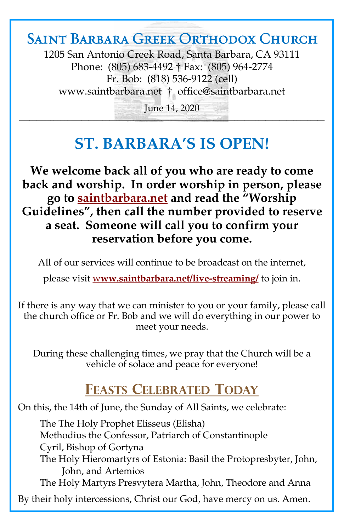# Saint Barbara Greek Orthodox Church

1205 San Antonio Creek Road, Santa Barbara, CA 93111 Phone: (805) 683-4492 † Fax: (805) 964-2774 Fr. Bob: (818) 536-9122 (cell) [www.saintbarbara.net](http://www.saintbarbara.net) † [office@saintbarbara.net](mailto:office@saintbarbara.net)

June 14, 2020  $\frac{1}{2}$  and  $\frac{1}{2}$  and  $\frac{1}{2}$  and  $\frac{1}{2}$  and  $\frac{1}{2}$  and  $\frac{1}{2}$  and  $\frac{1}{2}$  and  $\frac{1}{2}$  and  $\frac{1}{2}$  and  $\frac{1}{2}$  and  $\frac{1}{2}$ 

# **ST. BARBARA'S IS OPEN!**

**We welcome back all of you who are ready to come back and worship. In order worship in person, please go to [saintbarbara.net](http://www.saintbarbara.net) and read the "Worship Guidelines", then call the number provided to reserve a seat. Someone will call you to confirm your reservation before you come.**

All of our services will continue to be broadcast on the internet,

please visit w**[ww.saintbarbara.net/live-streaming/](http://www.saintbarbara.net/live-streaming/)** to join in.

If there is any way that we can minister to you or your family, please call the church office or Fr. Bob and we will do everything in our power to meet your needs.

During these challenging times, we pray that the Church will be a vehicle of solace and peace for everyone!

# **FEASTS CELEBRATED TODAY**

On this, the 14th of June, the Sunday of All Saints, we celebrate:

The The Holy Prophet Elisseus (Elisha) Methodius the Confessor, Patriarch of Constantinople Cyril, Bishop of Gortyna The Holy Hieromartyrs of Estonia: Basil the Protopresbyter, John, John, and Artemios The Holy Martyrs Presvytera Martha, John, Theodore and Anna By their holy intercessions, Christ our God, have mercy on us. Amen.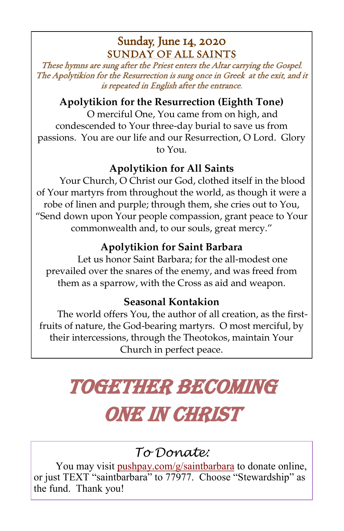### Sunday, June 14, 2020 SUNDAY OF ALL SAINTS

These hymns are sung after the Priest enters the Altar carrying the Gospel. The Apolytikion for the Resurrection is sung once in Greek at the exit, and it is repeated in English after the entrance.

### **Apolytikion for the Resurrection (Eighth Tone)**

O merciful One, You came from on high, and condescended to Your three-day burial to save us from passions. You are our life and our Resurrection, O Lord. Glory to You.

### **Apolytikion for All Saints**

Your Church, O Christ our God, clothed itself in the blood of Your martyrs from throughout the world, as though it were a robe of linen and purple; through them, she cries out to You, "Send down upon Your people compassion, grant peace to Your commonwealth and, to our souls, great mercy."

### **Apolytikion for Saint Barbara**

Let us honor Saint Barbara; for the all-modest one prevailed over the snares of the enemy, and was freed from them as a sparrow, with the Cross as aid and weapon.

### **Seasonal Kontakion**

The world offers You, the author of all creation, as the firstfruits of nature, the God-bearing martyrs. O most merciful, by their intercessions, through the Theotokos, maintain Your Church in perfect peace.

# Together Becoming ONE IN CHRIST

# *To Donate:*

You may visit <pushpay.com/g/saintbarbara> to donate online, or just TEXT "saintbarbara" to 77977. Choose "Stewardship" as the fund. Thank you!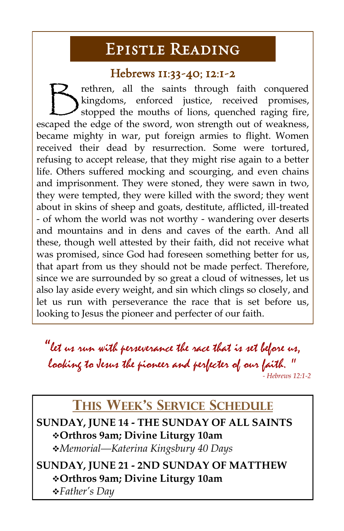# Epistle Reading

#### Hebrews 11:33-40; 12:1-2

 $\bigtriangledown$ rethren, all the saints through faith conquered kingdoms, enforced justice, received promises, stopped the mouths of lions, quenched raging fire, escaped the edge of the sword, won strength out of weakness, became mighty in war, put foreign armies to flight. Women received their dead by resurrection. Some were tortured, refusing to accept release, that they might rise again to a better life. Others suffered mocking and scourging, and even chains and imprisonment. They were stoned, they were sawn in two, they were tempted, they were killed with the sword; they went about in skins of sheep and goats, destitute, afflicted, ill-treated - of whom the world was not worthy - wandering over deserts and mountains and in dens and caves of the earth. And all these, though well attested by their faith, did not receive what was promised, since God had foreseen something better for us, that apart from us they should not be made perfect. Therefore, since we are surrounded by so great a cloud of witnesses, let us also lay aside every weight, and sin which clings so closely, and let us run with perseverance the race that is set before us, looking to Jesus the pioneer and perfecter of our faith.

"let us run with perseverance the race that is set before us, looking to Jesus the pioneer and perfecter of our faith. " *- Hebrews 12:1-2*

## **THIS WEEK'S SERVICE SCHEDULE**

**SUNDAY, JUNE 14 - THE SUNDAY OF ALL SAINTS** ❖**Orthros 9am; Divine Liturgy 10am** ❖*Memorial—Katerina Kingsbury 40 Days*

**SUNDAY, JUNE 21 - 2ND SUNDAY OF MATTHEW** ❖**Orthros 9am; Divine Liturgy 10am** ❖*Father's Day*